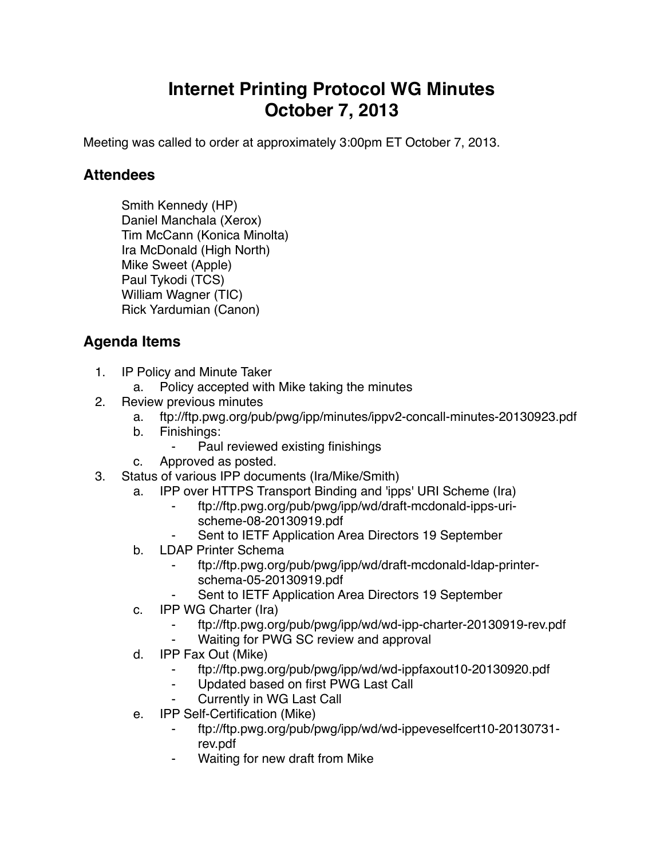## **Internet Printing Protocol WG Minutes October 7, 2013**

Meeting was called to order at approximately 3:00pm ET October 7, 2013.

## **Attendees**

Smith Kennedy (HP) Daniel Manchala (Xerox) Tim McCann (Konica Minolta) Ira McDonald (High North) Mike Sweet (Apple) Paul Tykodi (TCS) William Wagner (TIC) Rick Yardumian (Canon)

## **Agenda Items**

- 1. IP Policy and Minute Taker
	- a. Policy accepted with Mike taking the minutes
- 2. Review previous minutes
	- a. ftp://ftp.pwg.org/pub/pwg/ipp/minutes/ippv2-concall-minutes-20130923.pdf
	- b. Finishings:
		- Paul reviewed existing finishings
	- c. Approved as posted.
- 3. Status of various IPP documents (Ira/Mike/Smith)
	- a. IPP over HTTPS Transport Binding and 'ipps' URI Scheme (Ira)
		- ⁃ ftp://ftp.pwg.org/pub/pwg/ipp/wd/draft-mcdonald-ipps-urischeme-08-20130919.pdf
		- Sent to IETF Application Area Directors 19 September
	- b. LDAP Printer Schema
		- ⁃ ftp://ftp.pwg.org/pub/pwg/ipp/wd/draft-mcdonald-ldap-printerschema-05-20130919.pdf
		- Sent to IETF Application Area Directors 19 September
	- c. IPP WG Charter (Ira)
		- ⁃ ftp://ftp.pwg.org/pub/pwg/ipp/wd/wd-ipp-charter-20130919-rev.pdf
		- Waiting for PWG SC review and approval
	- d. IPP Fax Out (Mike)
		- ⁃ ftp://ftp.pwg.org/pub/pwg/ipp/wd/wd-ippfaxout10-20130920.pdf
		- ⁃ Updated based on first PWG Last Call
		- **Currently in WG Last Call**
	- e. IPP Self-Certification (Mike)
		- ⁃ ftp://ftp.pwg.org/pub/pwg/ipp/wd/wd-ippeveselfcert10-20130731 rev.pdf
		- Waiting for new draft from Mike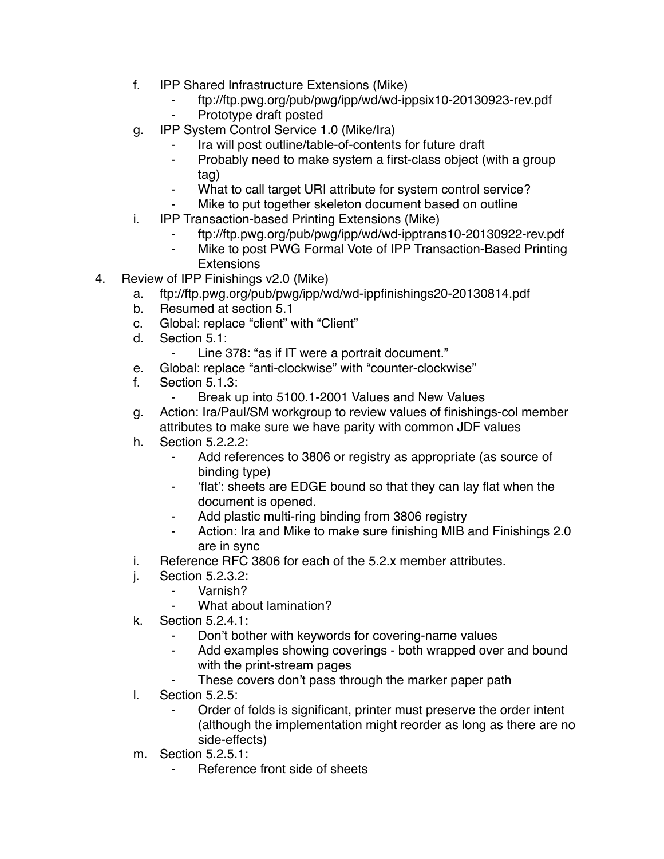- f. IPP Shared Infrastructure Extensions (Mike)
	- ⁃ ftp://ftp.pwg.org/pub/pwg/ipp/wd/wd-ippsix10-20130923-rev.pdf
	- Prototype draft posted
- g. IPP System Control Service 1.0 (Mike/Ira)
	- Ira will post outline/table-of-contents for future draft
	- ⁃ Probably need to make system a first-class object (with a group tag)
	- ⁃ What to call target URI attribute for system control service?
	- Mike to put together skeleton document based on outline
- i. IPP Transaction-based Printing Extensions (Mike)
	- ⁃ ftp://ftp.pwg.org/pub/pwg/ipp/wd/wd-ipptrans10-20130922-rev.pdf
	- Mike to post PWG Formal Vote of IPP Transaction-Based Printing **Extensions**
- 4. Review of IPP Finishings v2.0 (Mike)
	- a. ftp://ftp.pwg.org/pub/pwg/ipp/wd/wd-ippfinishings20-20130814.pdf
	- b. Resumed at section 5.1
	- c. Global: replace "client" with "Client"
	- d. Section 5.1:
		- ⁃ Line 378: "as if IT were a portrait document."
	- e. Global: replace "anti-clockwise" with "counter-clockwise"
	- f. Section 5.1.3:
		- ⁃ Break up into 5100.1-2001 Values and New Values
	- g. Action: Ira/Paul/SM workgroup to review values of finishings-col member attributes to make sure we have parity with common JDF values
	- h. Section 5.2.2.2:
		- Add references to 3806 or registry as appropriate (as source of binding type)
		- ⁃ 'flat': sheets are EDGE bound so that they can lay flat when the document is opened.
		- ⁃ Add plastic multi-ring binding from 3806 registry
		- ⁃ Action: Ira and Mike to make sure finishing MIB and Finishings 2.0 are in sync
	- i. Reference RFC 3806 for each of the 5.2.x member attributes.
	- j. Section 5.2.3.2:
		- ⁃ Varnish?
			- What about lamination?
	- k. Section 5.2.4.1:
		- Don't bother with keywords for covering-name values
		- Add examples showing coverings both wrapped over and bound with the print-stream pages
		- These covers don't pass through the marker paper path
	- l. Section 5.2.5:
		- Order of folds is significant, printer must preserve the order intent (although the implementation might reorder as long as there are no side-effects)
	- m. Section 5.2.5.1:
		- Reference front side of sheets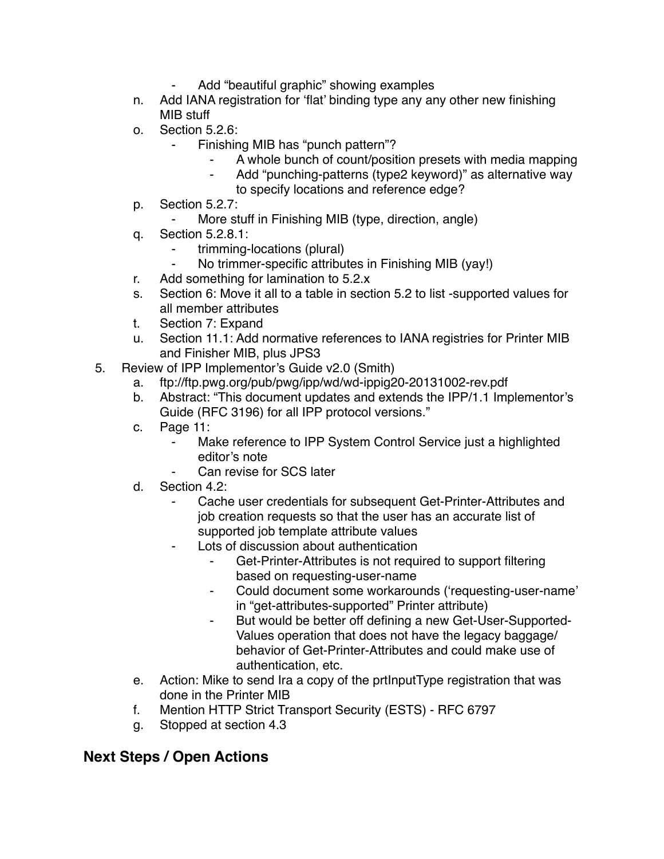- Add "beautiful graphic" showing examples
- n. Add IANA registration for 'flat' binding type any any other new finishing MIB stuff
- o. Section 5.2.6:
	- Finishing MIB has "punch pattern"?
		- A whole bunch of count/position presets with media mapping
		- ⁃ Add "punching-patterns (type2 keyword)" as alternative way to specify locations and reference edge?
- p. Section 5.2.7:
	- More stuff in Finishing MIB (type, direction, angle)
- q. Section 5.2.8.1:
	- trimming-locations (plural)
	- No trimmer-specific attributes in Finishing MIB (yay!)
- r. Add something for lamination to 5.2.x
- s. Section 6: Move it all to a table in section 5.2 to list -supported values for all member attributes
- t. Section 7: Expand
- u. Section 11.1: Add normative references to IANA registries for Printer MIB and Finisher MIB, plus JPS3
- 5. Review of IPP Implementor's Guide v2.0 (Smith)
	- a. ftp://ftp.pwg.org/pub/pwg/ipp/wd/wd-ippig20-20131002-rev.pdf
	- b. Abstract: "This document updates and extends the IPP/1.1 Implementor's Guide (RFC 3196) for all IPP protocol versions."
	- c. Page 11:
		- ⁃ Make reference to IPP System Control Service just a highlighted editor's note
		- Can revise for SCS later
	- d. Section 4.2:
		- Cache user credentials for subsequent Get-Printer-Attributes and job creation requests so that the user has an accurate list of supported job template attribute values
		- ⁃ Lots of discussion about authentication
			- Get-Printer-Attributes is not required to support filtering based on requesting-user-name
			- ⁃ Could document some workarounds ('requesting-user-name' in "get-attributes-supported" Printer attribute)
			- ⁃ But would be better off defining a new Get-User-Supported-Values operation that does not have the legacy baggage/ behavior of Get-Printer-Attributes and could make use of authentication, etc.
	- e. Action: Mike to send Ira a copy of the prtInputType registration that was done in the Printer MIB
	- f. Mention HTTP Strict Transport Security (ESTS) RFC 6797
	- g. Stopped at section 4.3

## **Next Steps / Open Actions**